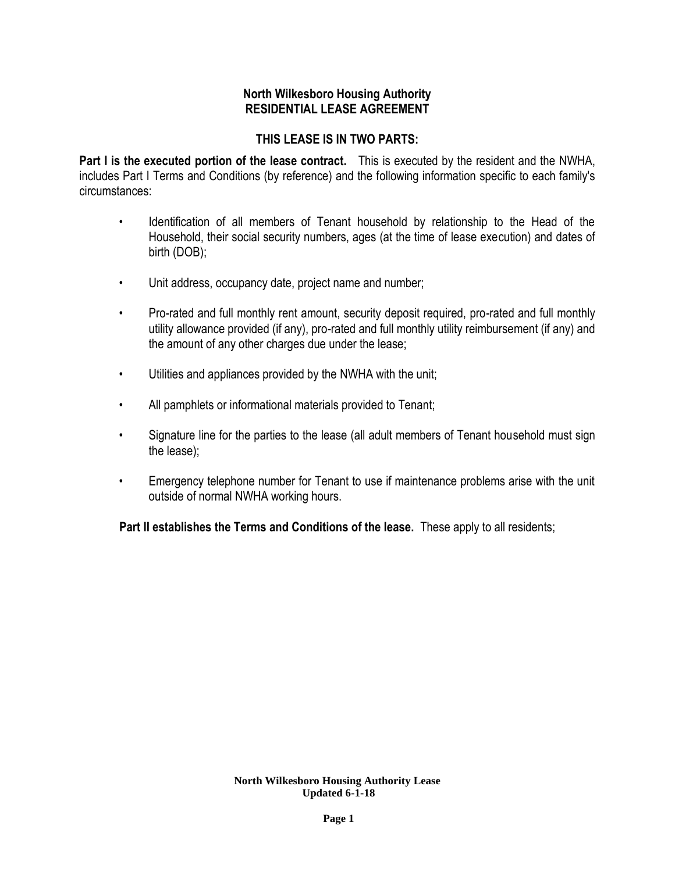# **North Wilkesboro Housing Authority RESIDENTIAL LEASE AGREEMENT**

# **THIS LEASE IS IN TWO PARTS:**

**Part I is the executed portion of the lease contract.** This is executed by the resident and the NWHA, includes Part I Terms and Conditions (by reference) and the following information specific to each family's circumstances:

- Identification of all members of Tenant household by relationship to the Head of the Household, their social security numbers, ages (at the time of lease execution) and dates of birth (DOB);
- Unit address, occupancy date, project name and number;
- Pro-rated and full monthly rent amount, security deposit required, pro-rated and full monthly utility allowance provided (if any), pro-rated and full monthly utility reimbursement (if any) and the amount of any other charges due under the lease;
- Utilities and appliances provided by the NWHA with the unit;
- All pamphlets or informational materials provided to Tenant;
- Signature line for the parties to the lease (all adult members of Tenant household must sign the lease);
- Emergency telephone number for Tenant to use if maintenance problems arise with the unit outside of normal NWHA working hours.

**Part II establishes the Terms and Conditions of the lease.** These apply to all residents;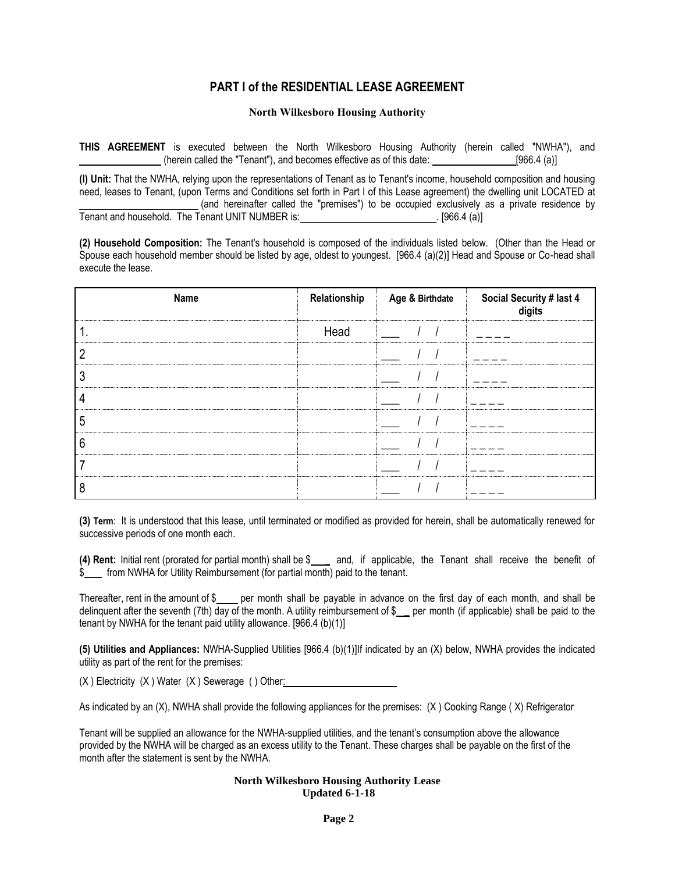## **PART I of the RESIDENTIAL LEASE AGREEMENT**

## **North Wilkesboro Housing Authority**

**THIS AGREEMENT** is executed between the North Wilkesboro Housing Authority (herein called "NWHA"), and (herein called the "Tenant"), and becomes effective as of this date:  $[966.4 \text{ (a)}]$ 

**(l) Unit:** That the NWHA, relying upon the representations of Tenant as to Tenant's income, household composition and housing need, leases to Tenant, (upon Terms and Conditions set forth in Part I of this Lease agreement) the dwelling unit LOCATED at (and hereinafter called the "premises") to be occupied exclusively as a private residence by Tenant and household. The Tenant UNIT NUMBER is: . . . . [966.4 (a)]

**(2) Household Composition:** The Tenant's household is composed of the individuals listed below. (Other than the Head or Spouse each household member should be listed by age, oldest to youngest. [966.4 (a)(2)] Head and Spouse or Co-head shall execute the lease.

| Name | Relationship | Age & Birthdate | Social Security # last 4<br>digits |
|------|--------------|-----------------|------------------------------------|
|      | Head         |                 |                                    |
| っ    |              |                 |                                    |
| 3    |              |                 |                                    |
| 4    |              |                 |                                    |
| 5    |              |                 |                                    |
| ჩ    |              |                 |                                    |
|      |              |                 |                                    |
| 8    |              |                 |                                    |

**(3) Term**: It is understood that this lease, until terminated or modified as provided for herein, shall be automatically renewed for successive periods of one month each.

**(4) Rent:** Initial rent (prorated for partial month) shall be \$ \_ and, if applicable, the Tenant shall receive the benefit of  $\sin \theta$  from NWHA for Utility Reimbursement (for partial month) paid to the tenant.

Thereafter, rent in the amount of  $\frac{1}{2}$  per month shall be payable in advance on the first day of each month, and shall be delinquent after the seventh (7th) day of the month. A utility reimbursement of  $\frac{1}{2}$  per month (if applicable) shall be paid to the tenant by NWHA for the tenant paid utility allowance. [966.4 (b)(1)]

**(5) Utilities and Appliances:** NWHA-Supplied Utilities [966.4 (b)(1)]If indicated by an (X) below, NWHA provides the indicated utility as part of the rent for the premises:

(X ) Electricity (X ) Water (X ) Sewerage ( ) Other:

As indicated by an (X), NWHA shall provide the following appliances for the premises: (X ) Cooking Range ( X) Refrigerator

Tenant will be supplied an allowance for the NWHA-supplied utilities, and the tenant's consumption above the allowance provided by the NWHA will be charged as an excess utility to the Tenant. These charges shall be payable on the first of the month after the statement is sent by the NWHA.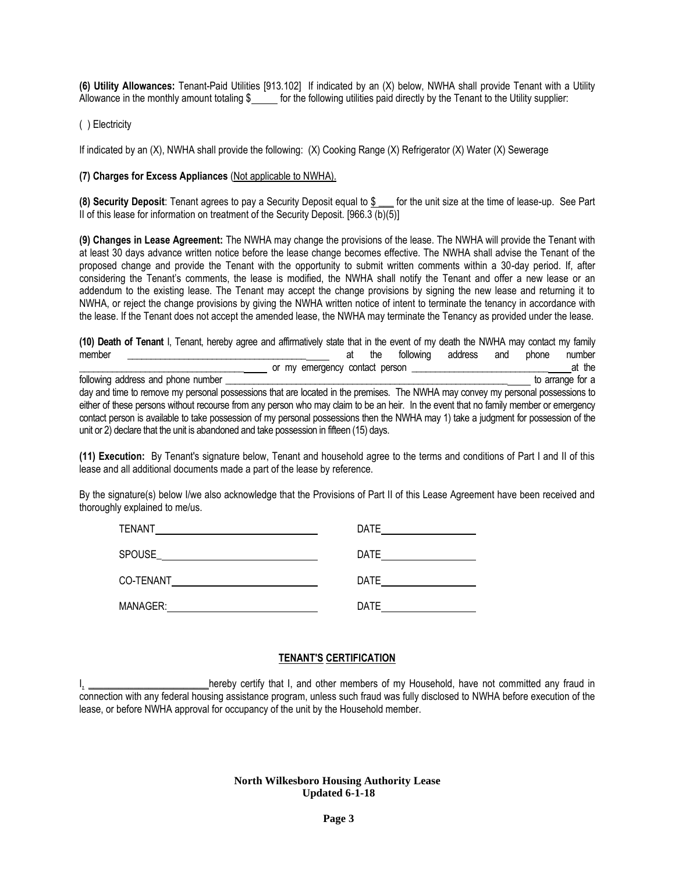**(6) Utility Allowances:** Tenant-Paid Utilities [913.102]If indicated by an (X) below, NWHA shall provide Tenant with a Utility Allowance in the monthly amount totaling \$\_\_\_\_ for the following utilities paid directly by the Tenant to the Utility supplier:

( ) Electricity

If indicated by an (X), NWHA shall provide the following: (X) Cooking Range (X) Refrigerator (X) Water (X) Sewerage

## **(7) Charges for Excess Appliances** (Not applicable to NWHA).

**(8) Security Deposit**: Tenant agrees to pay a Security Deposit equal to \$ \_\_\_ for the unit size at the time of lease-up. See Part II of this lease for information on treatment of the Security Deposit. [966.3 (b)(5)]

**(9) Changes in Lease Agreement:** The NWHA may change the provisions of the lease. The NWHA will provide the Tenant with at least 30 days advance written notice before the lease change becomes effective. The NWHA shall advise the Tenant of the proposed change and provide the Tenant with the opportunity to submit written comments within a 30-day period. If, after considering the Tenant's comments, the lease is modified, the NWHA shall notify the Tenant and offer a new lease or an addendum to the existing lease. The Tenant may accept the change provisions by signing the new lease and returning it to NWHA, or reject the change provisions by giving the NWHA written notice of intent to terminate the tenancy in accordance with the lease. If the Tenant does not accept the amended lease, the NWHA may terminate the Tenancy as provided under the lease.

| (10) Death of Tenant I, Tenant, hereby agree and affirmatively state that in the event of my death the NWHA may contact my family     |    |     |           |         |     |       |                  |
|---------------------------------------------------------------------------------------------------------------------------------------|----|-----|-----------|---------|-----|-------|------------------|
| member                                                                                                                                | ат | the | following | address | and | phone | number           |
| or my emergency contact person                                                                                                        |    |     |           |         |     |       | at the           |
| following address and phone number                                                                                                    |    |     |           |         |     |       | to arrange for a |
| day and time to remove my personal possessions that are located in the premises. The NWHA may convey my personal possessions to       |    |     |           |         |     |       |                  |
| either of these persons without recourse from any person who may claim to be an heir. In the event that no family member or emergency |    |     |           |         |     |       |                  |
| contact person is available to take possession of my personal possessions then the NWHA may 1) take a judgment for possession of the  |    |     |           |         |     |       |                  |
| unit or 2) declare that the unit is abandoned and take possession in fifteen (15) days.                                               |    |     |           |         |     |       |                  |

**(11) Execution:** By Tenant's signature below, Tenant and household agree to the terms and conditions of Part I and II of this lease and all additional documents made a part of the lease by reference.

By the signature(s) below I/we also acknowledge that the Provisions of Part II of this Lease Agreement have been received and thoroughly explained to me/us.

| TENANT    | <b>DATE</b> |
|-----------|-------------|
| SPOUSE    | <b>DATE</b> |
| CO-TENANT | <b>DATE</b> |
| MANAGER:  | <b>DATE</b> |

## **TENANT'S CERTIFICATION**

I<sub>1</sub> \_\_\_\_\_\_\_\_\_\_\_\_\_\_\_\_\_\_\_\_\_\_\_\_\_\_hereby certify that I, and other members of my Household, have not committed any fraud in connection with any federal housing assistance program, unless such fraud was fully disclosed to NWHA before execution of the lease, or before NWHA approval for occupancy of the unit by the Household member.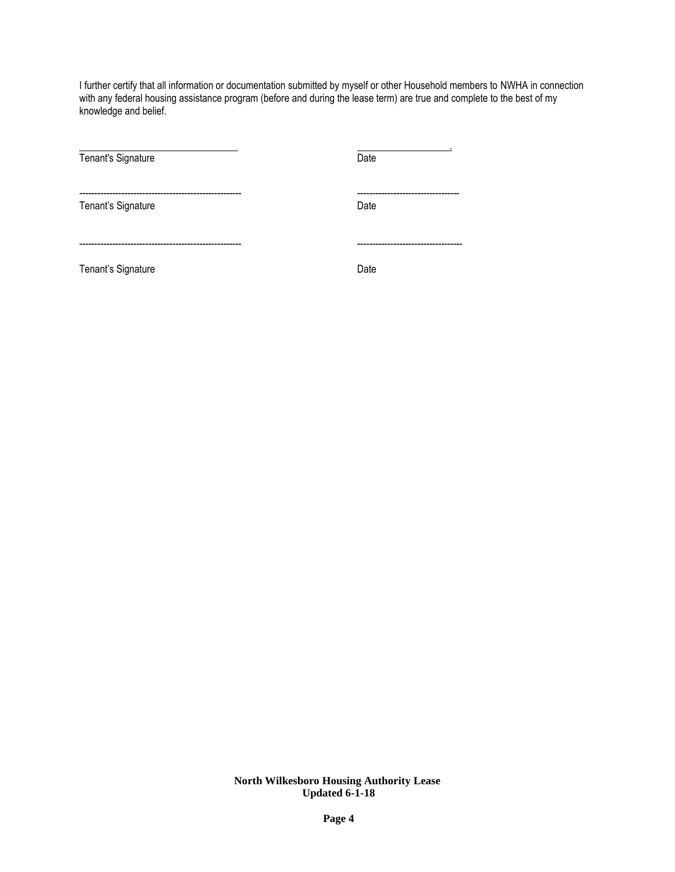I further certify that all information or documentation submitted by myself or other Household members to NWHA in connection with any federal housing assistance program (before and during the lease term) are true and complete to the best of my knowledge and belief.

| Tenant's Signature | Date                               |
|--------------------|------------------------------------|
| Tenant's Signature | --------------------------<br>Date |
|                    | -------------                      |
| Tenant's Signature | Date                               |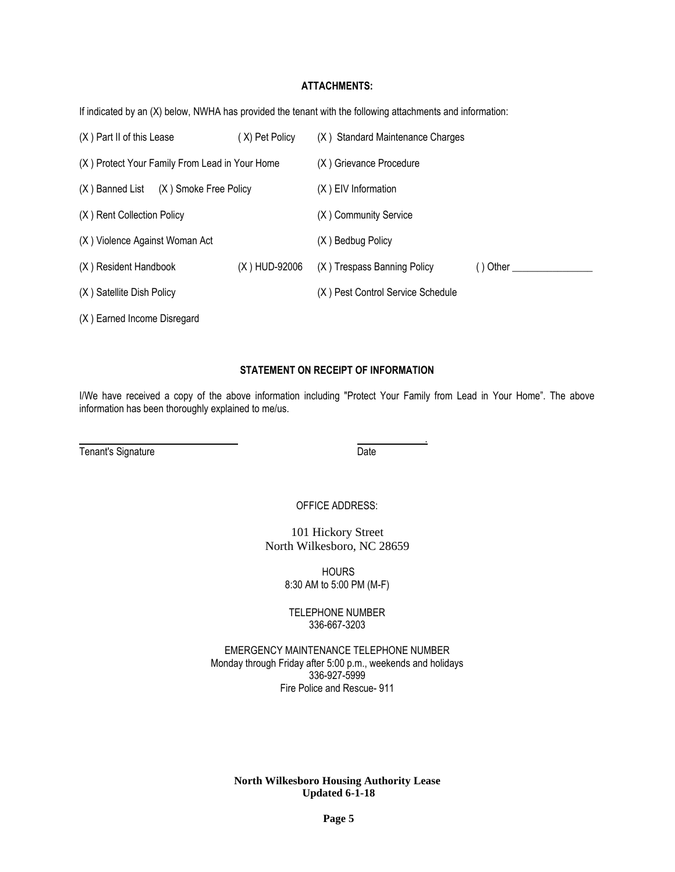## **ATTACHMENTS:**

If indicated by an (X) below, NWHA has provided the tenant with the following attachments and information:

| (X) Part II of this Lease                      | (X) Pet Policy | (X) Standard Maintenance Charges  |           |
|------------------------------------------------|----------------|-----------------------------------|-----------|
| (X) Protect Your Family From Lead in Your Home |                | (X) Grievance Procedure           |           |
| (X) Banned List (X) Smoke Free Policy          |                | (X) EIV Information               |           |
| (X) Rent Collection Policy                     |                | (X) Community Service             |           |
| (X) Violence Against Woman Act                 |                | (X) Bedbug Policy                 |           |
| (X) Resident Handbook                          | (X) HUD-92006  | (X) Trespass Banning Policy       | ( ) Other |
| (X) Satellite Dish Policy                      |                | (X) Pest Control Service Schedule |           |
| (X) Earned Income Disregard                    |                |                                   |           |

## **STATEMENT ON RECEIPT OF INFORMATION**

I/We have received a copy of the above information including "Protect Your Family from Lead in Your Home". The above information has been thoroughly explained to me/us.

Tenant's Signature Date

.

OFFICE ADDRESS:

101 Hickory Street North Wilkesboro, NC 28659

> **HOURS** 8:30 AM to 5:00 PM (M-F)

TELEPHONE NUMBER 336-667-3203

EMERGENCY MAINTENANCE TELEPHONE NUMBER Monday through Friday after 5:00 p.m., weekends and holidays 336-927-5999 Fire Police and Rescue- 911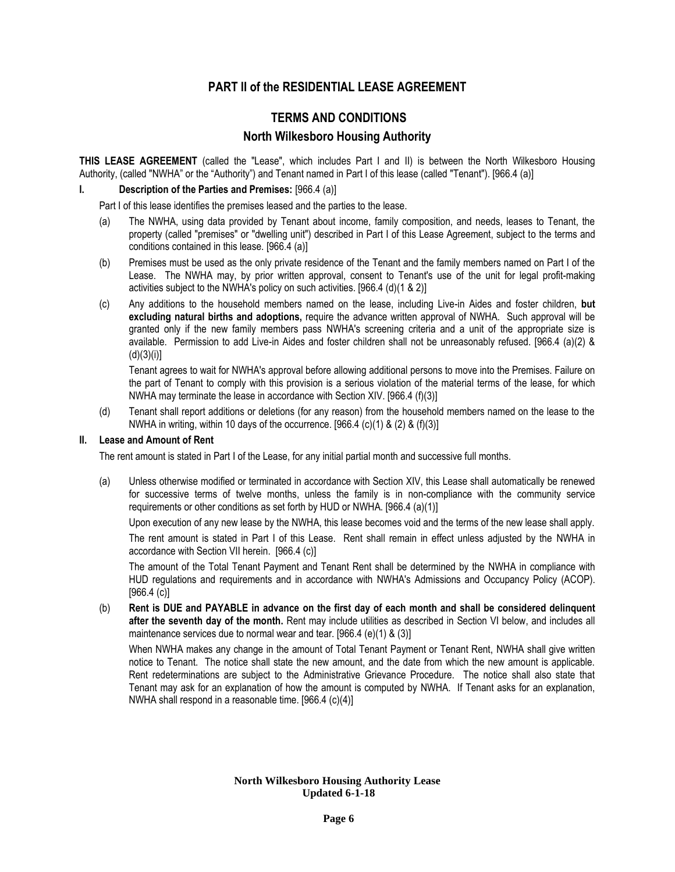## **PART lI of the RESIDENTIAL LEASE AGREEMENT**

## **TERMS AND CONDITIONS**

## **North Wilkesboro Housing Authority**

**THIS LEASE AGREEMENT** (called the "Lease", which includes Part I and II) is between the North Wilkesboro Housing Authority, (called "NWHA" or the "Authority") and Tenant named in Part I of this lease (called "Tenant"). [966.4 (a)]

## **I. Description of the Parties and Premises:** [966.4 (a)]

Part I of this lease identifies the premises leased and the parties to the lease.

- (a) The NWHA, using data provided by Tenant about income, family composition, and needs, leases to Tenant, the property (called "premises" or "dwelling unit") described in Part I of this Lease Agreement, subject to the terms and conditions contained in this lease. [966.4 (a)]
- (b) Premises must be used as the only private residence of the Tenant and the family members named on Part I of the Lease. The NWHA may, by prior written approval, consent to Tenant's use of the unit for legal profit-making activities subject to the NWHA's policy on such activities. [966.4 (d)(1 & 2)]
- (c) Any additions to the household members named on the lease, including Live-in Aides and foster children, **but excluding natural births and adoptions,** require the advance written approval of NWHA. Such approval will be granted only if the new family members pass NWHA's screening criteria and a unit of the appropriate size is available. Permission to add Live-in Aides and foster children shall not be unreasonably refused. [966.4 (a)(2) &  $(d)(3)(i)$ ]

Tenant agrees to wait for NWHA's approval before allowing additional persons to move into the Premises. Failure on the part of Tenant to comply with this provision is a serious violation of the material terms of the lease, for which NWHA may terminate the lease in accordance with Section XIV. [966.4 (f)(3)]

(d) Tenant shall report additions or deletions (for any reason) from the household members named on the lease to the NWHA in writing, within 10 days of the occurrence. [966.4  $(c)(1)$  &  $(2)$  &  $(f)(3)$ ]

## **II. Lease and Amount of Rent**

The rent amount is stated in Part I of the Lease, for any initial partial month and successive full months.

(a) Unless otherwise modified or terminated in accordance with Section XIV, this Lease shall automatically be renewed for successive terms of twelve months, unless the family is in non-compliance with the community service requirements or other conditions as set forth by HUD or NWHA. [966.4 (a)(1)]

Upon execution of any new lease by the NWHA, this lease becomes void and the terms of the new lease shall apply.

The rent amount is stated in Part I of this Lease. Rent shall remain in effect unless adjusted by the NWHA in accordance with Section VII herein. [966.4 (c)]

The amount of the Total Tenant Payment and Tenant Rent shall be determined by the NWHA in compliance with HUD regulations and requirements and in accordance with NWHA's Admissions and Occupancy Policy (ACOP). [966.4 (c)]

(b) **Rent is DUE and PAYABLE in advance on the first day of each month and shall be considered delinquent after the seventh day of the month.** Rent may include utilities as described in Section VI below, and includes all maintenance services due to normal wear and tear. [966.4 (e)(1) & (3)]

When NWHA makes any change in the amount of Total Tenant Payment or Tenant Rent, NWHA shall give written notice to Tenant. The notice shall state the new amount, and the date from which the new amount is applicable. Rent redeterminations are subject to the Administrative Grievance Procedure. The notice shall also state that Tenant may ask for an explanation of how the amount is computed by NWHA. If Tenant asks for an explanation, NWHA shall respond in a reasonable time. [966.4 (c)(4)]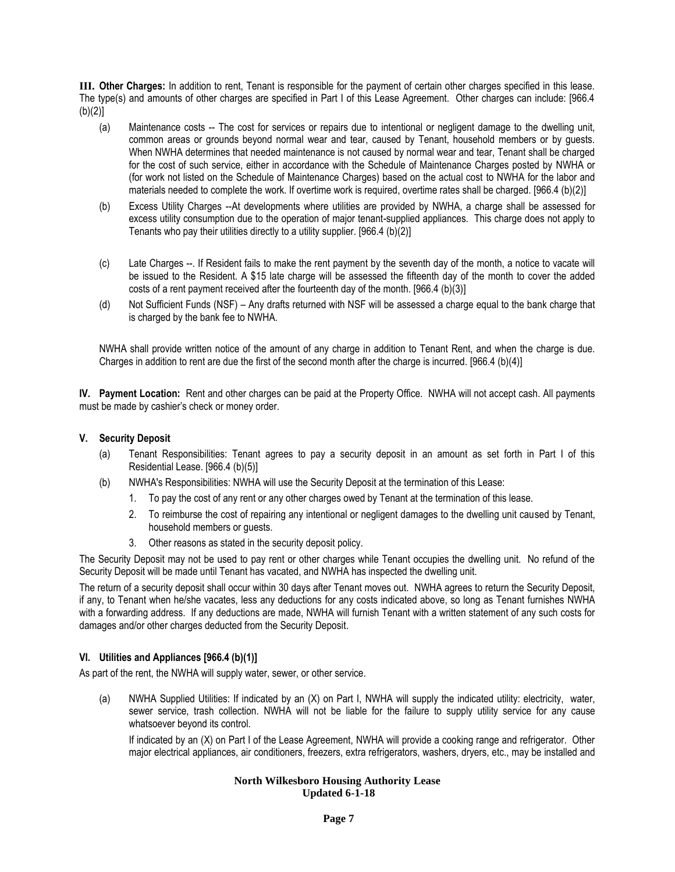**III. Other Charges:** In addition to rent, Tenant is responsible for the payment of certain other charges specified in this lease. The type(s) and amounts of other charges are specified in Part I of this Lease Agreement. Other charges can include: [966.4  $(b)(2)]$ 

- (a) Maintenance costs -- The cost for services or repairs due to intentional or negligent damage to the dwelling unit, common areas or grounds beyond normal wear and tear, caused by Tenant, household members or by guests. When NWHA determines that needed maintenance is not caused by normal wear and tear, Tenant shall be charged for the cost of such service, either in accordance with the Schedule of Maintenance Charges posted by NWHA or (for work not listed on the Schedule of Maintenance Charges) based on the actual cost to NWHA for the labor and materials needed to complete the work. If overtime work is required, overtime rates shall be charged. [966.4 (b)(2)]
- (b) Excess Utility Charges --At developments where utilities are provided by NWHA, a charge shall be assessed for excess utility consumption due to the operation of major tenant-supplied appliances. This charge does not apply to Tenants who pay their utilities directly to a utility supplier. [966.4 (b)(2)]
- (c) Late Charges --. If Resident fails to make the rent payment by the seventh day of the month, a notice to vacate will be issued to the Resident. A \$15 late charge will be assessed the fifteenth day of the month to cover the added costs of a rent payment received after the fourteenth day of the month. [966.4 (b)(3)]
- (d) Not Sufficient Funds (NSF) Any drafts returned with NSF will be assessed a charge equal to the bank charge that is charged by the bank fee to NWHA.

NWHA shall provide written notice of the amount of any charge in addition to Tenant Rent, and when the charge is due. Charges in addition to rent are due the first of the second month after the charge is incurred. [966.4 (b)(4)]

**IV. Payment Location:** Rent and other charges can be paid at the Property Office. NWHA will not accept cash. All payments must be made by cashier's check or money order.

## **V. Security Deposit**

- (a) Tenant Responsibilities: Tenant agrees to pay a security deposit in an amount as set forth in Part I of this Residential Lease. [966.4 (b)(5)]
- (b) NWHA's Responsibilities: NWHA will use the Security Deposit at the termination of this Lease:
	- 1. To pay the cost of any rent or any other charges owed by Tenant at the termination of this lease.
	- 2. To reimburse the cost of repairing any intentional or negligent damages to the dwelling unit caused by Tenant, household members or guests.
	- 3. Other reasons as stated in the security deposit policy.

The Security Deposit may not be used to pay rent or other charges while Tenant occupies the dwelling unit. No refund of the Security Deposit will be made until Tenant has vacated, and NWHA has inspected the dwelling unit.

The return of a security deposit shall occur within 30 days after Tenant moves out. NWHA agrees to return the Security Deposit, if any, to Tenant when he/she vacates, less any deductions for any costs indicated above, so long as Tenant furnishes NWHA with a forwarding address. If any deductions are made, NWHA will furnish Tenant with a written statement of any such costs for damages and/or other charges deducted from the Security Deposit.

## **VI. Utilities and Appliances [966.4 (b)(1)]**

As part of the rent, the NWHA will supply water, sewer, or other service.

(a) NWHA Supplied Utilities: If indicated by an (X) on Part I, NWHA will supply the indicated utility: electricity, water, sewer service, trash collection. NWHA will not be liable for the failure to supply utility service for any cause whatsoever beyond its control.

If indicated by an (X) on Part I of the Lease Agreement, NWHA will provide a cooking range and refrigerator. Other major electrical appliances, air conditioners, freezers, extra refrigerators, washers, dryers, etc., may be installed and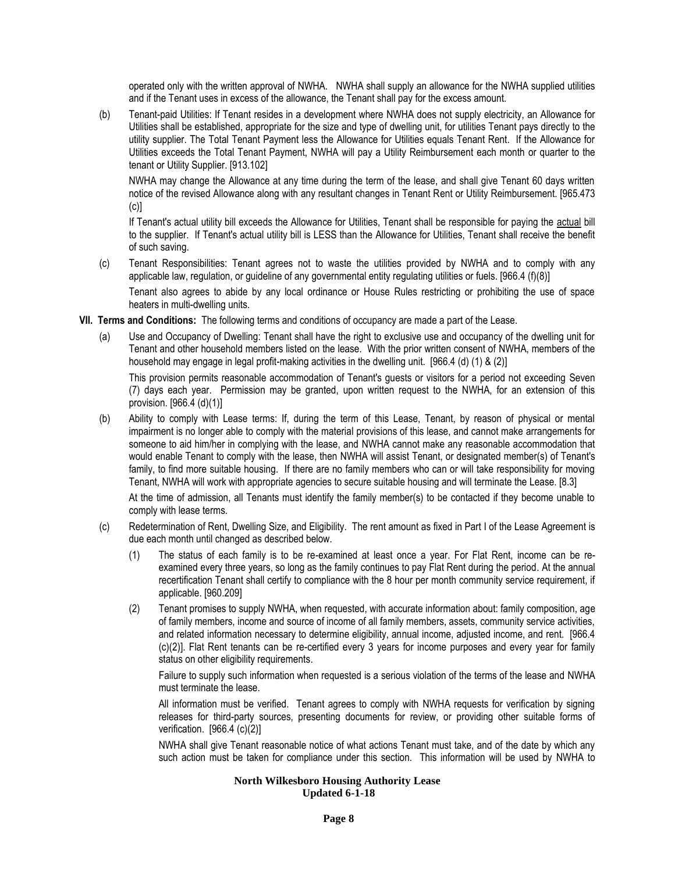operated only with the written approval of NWHA. NWHA shall supply an allowance for the NWHA supplied utilities and if the Tenant uses in excess of the allowance, the Tenant shall pay for the excess amount.

(b) Tenant-paid Utilities: If Tenant resides in a development where NWHA does not supply electricity, an Allowance for Utilities shall be established, appropriate for the size and type of dwelling unit, for utilities Tenant pays directly to the utility supplier. The Total Tenant Payment less the Allowance for Utilities equals Tenant Rent. If the Allowance for Utilities exceeds the Total Tenant Payment, NWHA will pay a Utility Reimbursement each month or quarter to the tenant or Utility Supplier. [913.102]

NWHA may change the Allowance at any time during the term of the lease, and shall give Tenant 60 days written notice of the revised Allowance along with any resultant changes in Tenant Rent or Utility Reimbursement. [965.473 (c)]

If Tenant's actual utility bill exceeds the Allowance for Utilities, Tenant shall be responsible for paying the actual bill to the supplier. If Tenant's actual utility bill is LESS than the Allowance for Utilities, Tenant shall receive the benefit of such saving.

(c) Tenant Responsibilities: Tenant agrees not to waste the utilities provided by NWHA and to comply with any applicable law, regulation, or guideline of any governmental entity regulating utilities or fuels. [966.4 (f)(8)]

Tenant also agrees to abide by any local ordinance or House Rules restricting or prohibiting the use of space heaters in multi-dwelling units.

- **VII. Terms and Conditions:** The following terms and conditions of occupancy are made a part of the Lease.
	- (a) Use and Occupancy of Dwelling: Tenant shall have the right to exclusive use and occupancy of the dwelling unit for Tenant and other household members listed on the lease. With the prior written consent of NWHA, members of the household may engage in legal profit-making activities in the dwelling unit. [966.4 (d) (1) & (2)]

This provision permits reasonable accommodation of Tenant's guests or visitors for a period not exceeding Seven (7) days each year. Permission may be granted, upon written request to the NWHA, for an extension of this provision. [966.4 (d)(1)]

(b) Ability to comply with Lease terms: If, during the term of this Lease, Tenant, by reason of physical or mental impairment is no longer able to comply with the material provisions of this lease, and cannot make arrangements for someone to aid him/her in complying with the lease, and NWHA cannot make any reasonable accommodation that would enable Tenant to comply with the lease, then NWHA will assist Tenant, or designated member(s) of Tenant's family, to find more suitable housing. If there are no family members who can or will take responsibility for moving Tenant, NWHA will work with appropriate agencies to secure suitable housing and will terminate the Lease. [8.3]

At the time of admission, all Tenants must identify the family member(s) to be contacted if they become unable to comply with lease terms.

- (c) Redetermination of Rent, Dwelling Size, and Eligibility. The rent amount as fixed in Part I of the Lease Agreement is due each month until changed as described below.
	- (1) The status of each family is to be re-examined at least once a year. For Flat Rent, income can be reexamined every three years, so long as the family continues to pay Flat Rent during the period. At the annual recertification Tenant shall certify to compliance with the 8 hour per month community service requirement, if applicable. [960.209]
	- (2) Tenant promises to supply NWHA, when requested, with accurate information about: family composition, age of family members, income and source of income of all family members, assets, community service activities, and related information necessary to determine eligibility, annual income, adjusted income, and rent. [966.4 (c)(2)]. Flat Rent tenants can be re-certified every 3 years for income purposes and every year for family status on other eligibility requirements.

Failure to supply such information when requested is a serious violation of the terms of the lease and NWHA must terminate the lease.

All information must be verified. Tenant agrees to comply with NWHA requests for verification by signing releases for third-party sources, presenting documents for review, or providing other suitable forms of verification. [966.4 (c)(2)]

NWHA shall give Tenant reasonable notice of what actions Tenant must take, and of the date by which any such action must be taken for compliance under this section. This information will be used by NWHA to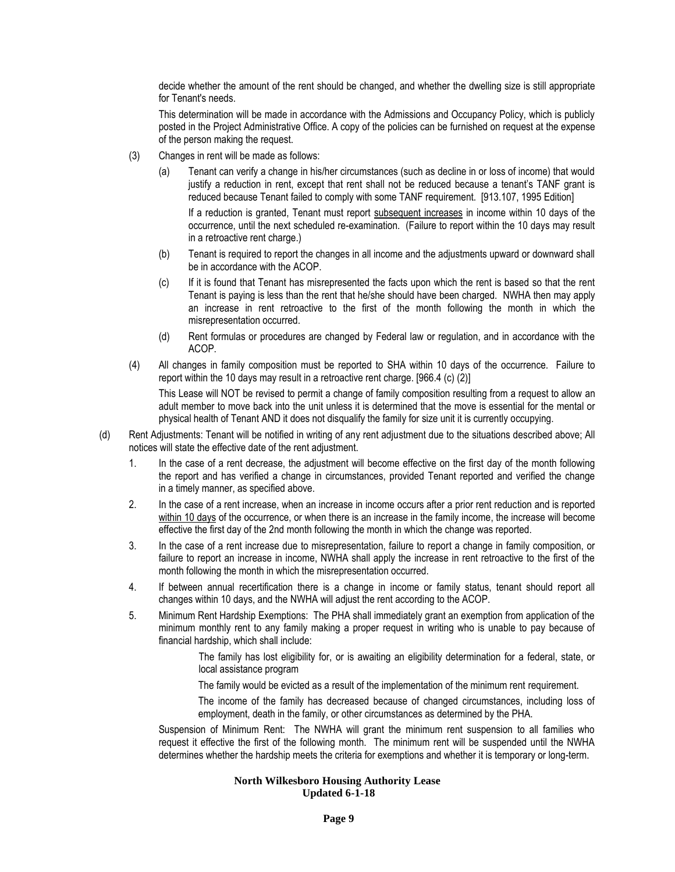decide whether the amount of the rent should be changed, and whether the dwelling size is still appropriate for Tenant's needs.

This determination will be made in accordance with the Admissions and Occupancy Policy, which is publicly posted in the Project Administrative Office. A copy of the policies can be furnished on request at the expense of the person making the request.

- (3) Changes in rent will be made as follows:
	- (a) Tenant can verify a change in his/her circumstances (such as decline in or loss of income) that would justify a reduction in rent, except that rent shall not be reduced because a tenant's TANF grant is reduced because Tenant failed to comply with some TANF requirement. [913.107, 1995 Edition]

If a reduction is granted, Tenant must report subsequent increases in income within 10 days of the occurrence, until the next scheduled re-examination. (Failure to report within the 10 days may result in a retroactive rent charge.)

- (b) Tenant is required to report the changes in all income and the adjustments upward or downward shall be in accordance with the ACOP.
- (c) If it is found that Tenant has misrepresented the facts upon which the rent is based so that the rent Tenant is paying is less than the rent that he/she should have been charged. NWHA then may apply an increase in rent retroactive to the first of the month following the month in which the misrepresentation occurred.
- (d) Rent formulas or procedures are changed by Federal law or regulation, and in accordance with the ACOP.
- (4) All changes in family composition must be reported to SHA within 10 days of the occurrence. Failure to report within the 10 days may result in a retroactive rent charge. [966.4 (c) (2)]

This Lease will NOT be revised to permit a change of family composition resulting from a request to allow an adult member to move back into the unit unless it is determined that the move is essential for the mental or physical health of Tenant AND it does not disqualify the family for size unit it is currently occupying.

- (d) Rent Adjustments: Tenant will be notified in writing of any rent adjustment due to the situations described above; All notices will state the effective date of the rent adjustment.
	- 1. In the case of a rent decrease, the adjustment will become effective on the first day of the month following the report and has verified a change in circumstances, provided Tenant reported and verified the change in a timely manner, as specified above.
	- 2. In the case of a rent increase, when an increase in income occurs after a prior rent reduction and is reported within 10 days of the occurrence, or when there is an increase in the family income, the increase will become effective the first day of the 2nd month following the month in which the change was reported.
	- 3. In the case of a rent increase due to misrepresentation, failure to report a change in family composition, or failure to report an increase in income, NWHA shall apply the increase in rent retroactive to the first of the month following the month in which the misrepresentation occurred.
	- 4. If between annual recertification there is a change in income or family status, tenant should report all changes within 10 days, and the NWHA will adjust the rent according to the ACOP.
	- 5. Minimum Rent Hardship Exemptions: The PHA shall immediately grant an exemption from application of the minimum monthly rent to any family making a proper request in writing who is unable to pay because of financial hardship, which shall include:

The family has lost eligibility for, or is awaiting an eligibility determination for a federal, state, or local assistance program

The family would be evicted as a result of the implementation of the minimum rent requirement.

The income of the family has decreased because of changed circumstances, including loss of employment, death in the family, or other circumstances as determined by the PHA.

Suspension of Minimum Rent: The NWHA will grant the minimum rent suspension to all families who request it effective the first of the following month. The minimum rent will be suspended until the NWHA determines whether the hardship meets the criteria for exemptions and whether it is temporary or long-term.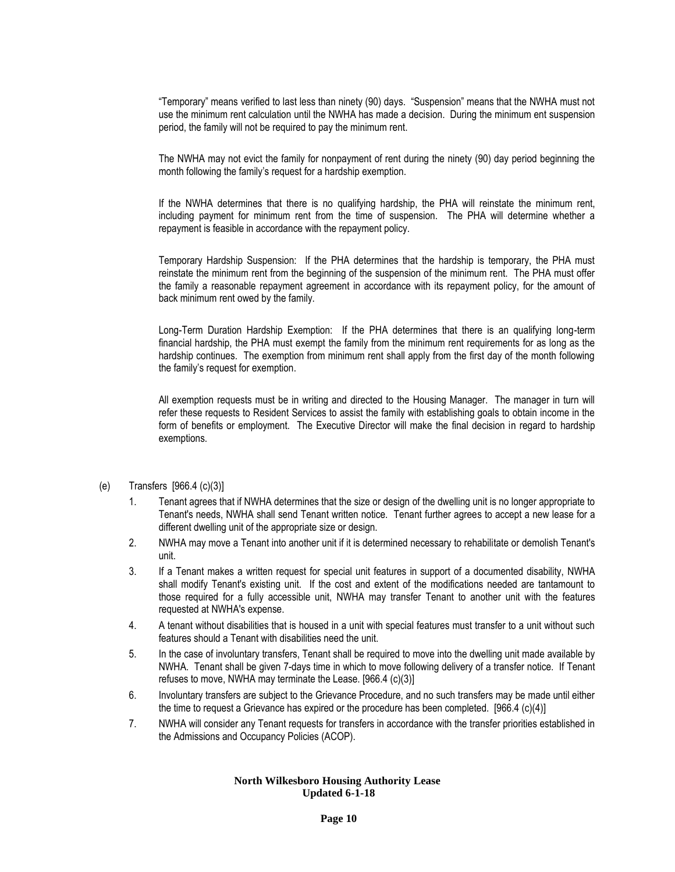"Temporary" means verified to last less than ninety (90) days. "Suspension" means that the NWHA must not use the minimum rent calculation until the NWHA has made a decision. During the minimum ent suspension period, the family will not be required to pay the minimum rent.

The NWHA may not evict the family for nonpayment of rent during the ninety (90) day period beginning the month following the family's request for a hardship exemption.

If the NWHA determines that there is no qualifying hardship, the PHA will reinstate the minimum rent, including payment for minimum rent from the time of suspension. The PHA will determine whether a repayment is feasible in accordance with the repayment policy.

Temporary Hardship Suspension: If the PHA determines that the hardship is temporary, the PHA must reinstate the minimum rent from the beginning of the suspension of the minimum rent. The PHA must offer the family a reasonable repayment agreement in accordance with its repayment policy, for the amount of back minimum rent owed by the family.

Long-Term Duration Hardship Exemption: If the PHA determines that there is an qualifying long-term financial hardship, the PHA must exempt the family from the minimum rent requirements for as long as the hardship continues. The exemption from minimum rent shall apply from the first day of the month following the family's request for exemption.

All exemption requests must be in writing and directed to the Housing Manager. The manager in turn will refer these requests to Resident Services to assist the family with establishing goals to obtain income in the form of benefits or employment. The Executive Director will make the final decision in regard to hardship exemptions.

## (e) Transfers [966.4 (c)(3)]

- 1. Tenant agrees that if NWHA determines that the size or design of the dwelling unit is no longer appropriate to Tenant's needs, NWHA shall send Tenant written notice. Tenant further agrees to accept a new lease for a different dwelling unit of the appropriate size or design.
- 2. NWHA may move a Tenant into another unit if it is determined necessary to rehabilitate or demolish Tenant's unit.
- 3. If a Tenant makes a written request for special unit features in support of a documented disability, NWHA shall modify Tenant's existing unit. If the cost and extent of the modifications needed are tantamount to those required for a fully accessible unit, NWHA may transfer Tenant to another unit with the features requested at NWHA's expense.
- 4. A tenant without disabilities that is housed in a unit with special features must transfer to a unit without such features should a Tenant with disabilities need the unit.
- 5. In the case of involuntary transfers, Tenant shall be required to move into the dwelling unit made available by NWHA. Tenant shall be given 7-days time in which to move following delivery of a transfer notice. If Tenant refuses to move, NWHA may terminate the Lease. [966.4 (c)(3)]
- 6. Involuntary transfers are subject to the Grievance Procedure, and no such transfers may be made until either the time to request a Grievance has expired or the procedure has been completed. [966.4 (c)(4)]
- 7. NWHA will consider any Tenant requests for transfers in accordance with the transfer priorities established in the Admissions and Occupancy Policies (ACOP).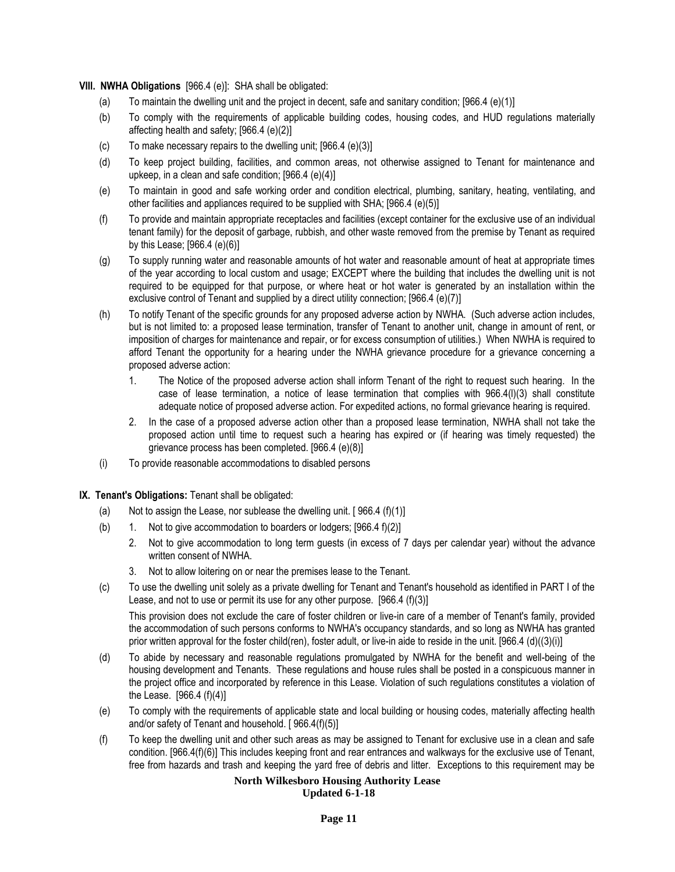**VIII. NWHA Obligations** [966.4 (e)]: SHA shall be obligated:

- (a) To maintain the dwelling unit and the project in decent, safe and sanitary condition;  $[966.4 (e)(1)]$
- (b) To comply with the requirements of applicable building codes, housing codes, and HUD regulations materially affecting health and safety; [966.4 (e)(2)]
- (c) To make necessary repairs to the dwelling unit; [966.4 (e)(3)]
- (d) To keep project building, facilities, and common areas, not otherwise assigned to Tenant for maintenance and upkeep, in a clean and safe condition; [966.4 (e)(4)]
- (e) To maintain in good and safe working order and condition electrical, plumbing, sanitary, heating, ventilating, and other facilities and appliances required to be supplied with SHA; [966.4 (e)(5)]
- (f) To provide and maintain appropriate receptacles and facilities (except container for the exclusive use of an individual tenant family) for the deposit of garbage, rubbish, and other waste removed from the premise by Tenant as required by this Lease; [966.4 (e)(6)]
- (g) To supply running water and reasonable amounts of hot water and reasonable amount of heat at appropriate times of the year according to local custom and usage; EXCEPT where the building that includes the dwelling unit is not required to be equipped for that purpose, or where heat or hot water is generated by an installation within the exclusive control of Tenant and supplied by a direct utility connection; [966.4 (e)(7)]
- (h) To notify Tenant of the specific grounds for any proposed adverse action by NWHA. (Such adverse action includes, but is not limited to: a proposed lease termination, transfer of Tenant to another unit, change in amount of rent, or imposition of charges for maintenance and repair, or for excess consumption of utilities.) When NWHA is required to afford Tenant the opportunity for a hearing under the NWHA grievance procedure for a grievance concerning a proposed adverse action:
	- 1. The Notice of the proposed adverse action shall inform Tenant of the right to request such hearing. In the case of lease termination, a notice of lease termination that complies with 966.4(l)(3) shall constitute adequate notice of proposed adverse action. For expedited actions, no formal grievance hearing is required.
	- 2. In the case of a proposed adverse action other than a proposed lease termination, NWHA shall not take the proposed action until time to request such a hearing has expired or (if hearing was timely requested) the grievance process has been completed. [966.4 (e)(8)]
- (i) To provide reasonable accommodations to disabled persons
- **IX. Tenant's Obligations:** Tenant shall be obligated:
	- (a) Not to assign the Lease, nor sublease the dwelling unit.  $[966.4(f)(1)]$
	- (b) 1. Not to give accommodation to boarders or lodgers; [966.4 f)(2)]
		- 2. Not to give accommodation to long term guests (in excess of 7 days per calendar year) without the advance written consent of NWHA.
		- 3. Not to allow loitering on or near the premises lease to the Tenant.
	- (c) To use the dwelling unit solely as a private dwelling for Tenant and Tenant's household as identified in PART I of the Lease, and not to use or permit its use for any other purpose. [966.4 (f)(3)]

This provision does not exclude the care of foster children or live-in care of a member of Tenant's family, provided the accommodation of such persons conforms to NWHA's occupancy standards, and so long as NWHA has granted prior written approval for the foster child(ren), foster adult, or live-in aide to reside in the unit. [966.4 (d)((3)(i)]

- (d) To abide by necessary and reasonable regulations promulgated by NWHA for the benefit and well-being of the housing development and Tenants. These regulations and house rules shall be posted in a conspicuous manner in the project office and incorporated by reference in this Lease. Violation of such regulations constitutes a violation of the Lease. [966.4 (f)(4)]
- (e) To comply with the requirements of applicable state and local building or housing codes, materially affecting health and/or safety of Tenant and household. [ 966.4(f)(5)]
- (f) To keep the dwelling unit and other such areas as may be assigned to Tenant for exclusive use in a clean and safe condition. [966.4(f)(6)] This includes keeping front and rear entrances and walkways for the exclusive use of Tenant, free from hazards and trash and keeping the yard free of debris and litter. Exceptions to this requirement may be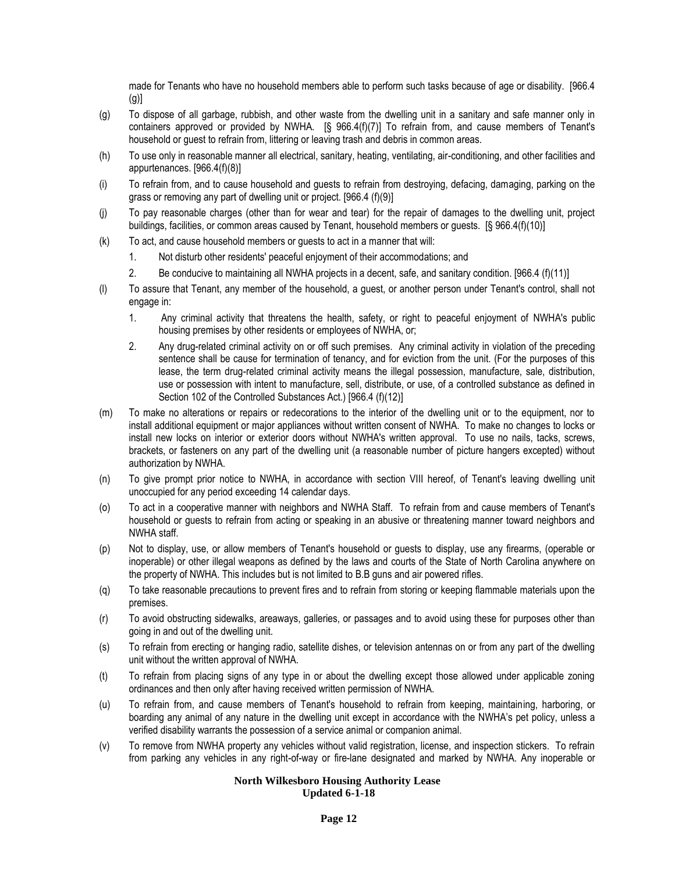made for Tenants who have no household members able to perform such tasks because of age or disability. [966.4  $(q)$ ]

- (g) To dispose of all garbage, rubbish, and other waste from the dwelling unit in a sanitary and safe manner only in containers approved or provided by NWHA. [§ 966.4(f)(7)] To refrain from, and cause members of Tenant's household or guest to refrain from, littering or leaving trash and debris in common areas.
- (h) To use only in reasonable manner all electrical, sanitary, heating, ventilating, air-conditioning, and other facilities and appurtenances. [966.4(f)(8)]
- (i) To refrain from, and to cause household and guests to refrain from destroying, defacing, damaging, parking on the grass or removing any part of dwelling unit or project. [966.4 (f)(9)]
- (j) To pay reasonable charges (other than for wear and tear) for the repair of damages to the dwelling unit, project buildings, facilities, or common areas caused by Tenant, household members or guests. [§ 966.4(f)(10)]
- (k) To act, and cause household members or guests to act in a manner that will:
	- 1. Not disturb other residents' peaceful enjoyment of their accommodations; and
	- 2. Be conducive to maintaining all NWHA projects in a decent, safe, and sanitary condition. [966.4 (f)(11)]
- (l) To assure that Tenant, any member of the household, a guest, or another person under Tenant's control, shall not engage in:
	- 1. Any criminal activity that threatens the health, safety, or right to peaceful enjoyment of NWHA's public housing premises by other residents or employees of NWHA, or;
	- 2. Any drug-related criminal activity on or off such premises. Any criminal activity in violation of the preceding sentence shall be cause for termination of tenancy, and for eviction from the unit. (For the purposes of this lease, the term drug-related criminal activity means the illegal possession, manufacture, sale, distribution, use or possession with intent to manufacture, sell, distribute, or use, of a controlled substance as defined in Section 102 of the Controlled Substances Act.) [966.4 (f)(12)]
- (m) To make no alterations or repairs or redecorations to the interior of the dwelling unit or to the equipment, nor to install additional equipment or major appliances without written consent of NWHA. To make no changes to locks or install new locks on interior or exterior doors without NWHA's written approval. To use no nails, tacks, screws, brackets, or fasteners on any part of the dwelling unit (a reasonable number of picture hangers excepted) without authorization by NWHA.
- (n) To give prompt prior notice to NWHA, in accordance with section VIII hereof, of Tenant's leaving dwelling unit unoccupied for any period exceeding 14 calendar days.
- (o) To act in a cooperative manner with neighbors and NWHA Staff. To refrain from and cause members of Tenant's household or guests to refrain from acting or speaking in an abusive or threatening manner toward neighbors and NWHA staff.
- (p) Not to display, use, or allow members of Tenant's household or guests to display, use any firearms, (operable or inoperable) or other illegal weapons as defined by the laws and courts of the State of North Carolina anywhere on the property of NWHA. This includes but is not limited to B.B guns and air powered rifles.
- (q) To take reasonable precautions to prevent fires and to refrain from storing or keeping flammable materials upon the premises.
- (r) To avoid obstructing sidewalks, areaways, galleries, or passages and to avoid using these for purposes other than going in and out of the dwelling unit.
- (s) To refrain from erecting or hanging radio, satellite dishes, or television antennas on or from any part of the dwelling unit without the written approval of NWHA.
- (t) To refrain from placing signs of any type in or about the dwelling except those allowed under applicable zoning ordinances and then only after having received written permission of NWHA.
- (u) To refrain from, and cause members of Tenant's household to refrain from keeping, maintaining, harboring, or boarding any animal of any nature in the dwelling unit except in accordance with the NWHA's pet policy, unless a verified disability warrants the possession of a service animal or companion animal.
- (v) To remove from NWHA property any vehicles without valid registration, license, and inspection stickers. To refrain from parking any vehicles in any right-of-way or fire-lane designated and marked by NWHA. Any inoperable or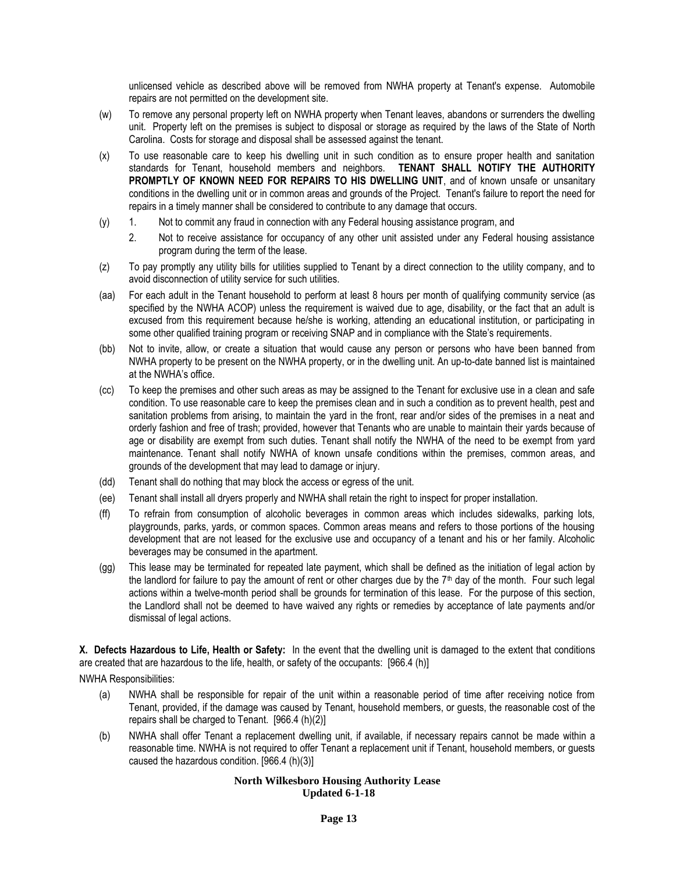unlicensed vehicle as described above will be removed from NWHA property at Tenant's expense. Automobile repairs are not permitted on the development site.

- (w) To remove any personal property left on NWHA property when Tenant leaves, abandons or surrenders the dwelling unit. Property left on the premises is subject to disposal or storage as required by the laws of the State of North Carolina. Costs for storage and disposal shall be assessed against the tenant.
- (x) To use reasonable care to keep his dwelling unit in such condition as to ensure proper health and sanitation standards for Tenant, household members and neighbors. **TENANT SHALL NOTIFY THE AUTHORITY PROMPTLY OF KNOWN NEED FOR REPAIRS TO HIS DWELLING UNIT**, and of known unsafe or unsanitary conditions in the dwelling unit or in common areas and grounds of the Project. Tenant's failure to report the need for repairs in a timely manner shall be considered to contribute to any damage that occurs.
- (y) 1. Not to commit any fraud in connection with any Federal housing assistance program, and
	- 2. Not to receive assistance for occupancy of any other unit assisted under any Federal housing assistance program during the term of the lease.
- (z) To pay promptly any utility bills for utilities supplied to Tenant by a direct connection to the utility company, and to avoid disconnection of utility service for such utilities.
- (aa) For each adult in the Tenant household to perform at least 8 hours per month of qualifying community service (as specified by the NWHA ACOP) unless the requirement is waived due to age, disability, or the fact that an adult is excused from this requirement because he/she is working, attending an educational institution, or participating in some other qualified training program or receiving SNAP and in compliance with the State's requirements.
- (bb) Not to invite, allow, or create a situation that would cause any person or persons who have been banned from NWHA property to be present on the NWHA property, or in the dwelling unit. An up-to-date banned list is maintained at the NWHA's office.
- (cc) To keep the premises and other such areas as may be assigned to the Tenant for exclusive use in a clean and safe condition. To use reasonable care to keep the premises clean and in such a condition as to prevent health, pest and sanitation problems from arising, to maintain the yard in the front, rear and/or sides of the premises in a neat and orderly fashion and free of trash; provided, however that Tenants who are unable to maintain their yards because of age or disability are exempt from such duties. Tenant shall notify the NWHA of the need to be exempt from yard maintenance. Tenant shall notify NWHA of known unsafe conditions within the premises, common areas, and grounds of the development that may lead to damage or injury.
- (dd) Tenant shall do nothing that may block the access or egress of the unit.
- (ee) Tenant shall install all dryers properly and NWHA shall retain the right to inspect for proper installation.
- (ff) To refrain from consumption of alcoholic beverages in common areas which includes sidewalks, parking lots, playgrounds, parks, yards, or common spaces. Common areas means and refers to those portions of the housing development that are not leased for the exclusive use and occupancy of a tenant and his or her family. Alcoholic beverages may be consumed in the apartment.
- (gg) This lease may be terminated for repeated late payment, which shall be defined as the initiation of legal action by the landlord for failure to pay the amount of rent or other charges due by the  $7<sup>th</sup>$  day of the month. Four such legal actions within a twelve-month period shall be grounds for termination of this lease. For the purpose of this section, the Landlord shall not be deemed to have waived any rights or remedies by acceptance of late payments and/or dismissal of legal actions.

**X. Defects Hazardous to Life, Health or Safety:** In the event that the dwelling unit is damaged to the extent that conditions are created that are hazardous to the life, health, or safety of the occupants: [966.4 (h)]

NWHA Responsibilities:

- (a) NWHA shall be responsible for repair of the unit within a reasonable period of time after receiving notice from Tenant, provided, if the damage was caused by Tenant, household members, or guests, the reasonable cost of the repairs shall be charged to Tenant. [966.4 (h)(2)]
- (b) NWHA shall offer Tenant a replacement dwelling unit, if available, if necessary repairs cannot be made within a reasonable time. NWHA is not required to offer Tenant a replacement unit if Tenant, household members, or guests caused the hazardous condition. [966.4 (h)(3)]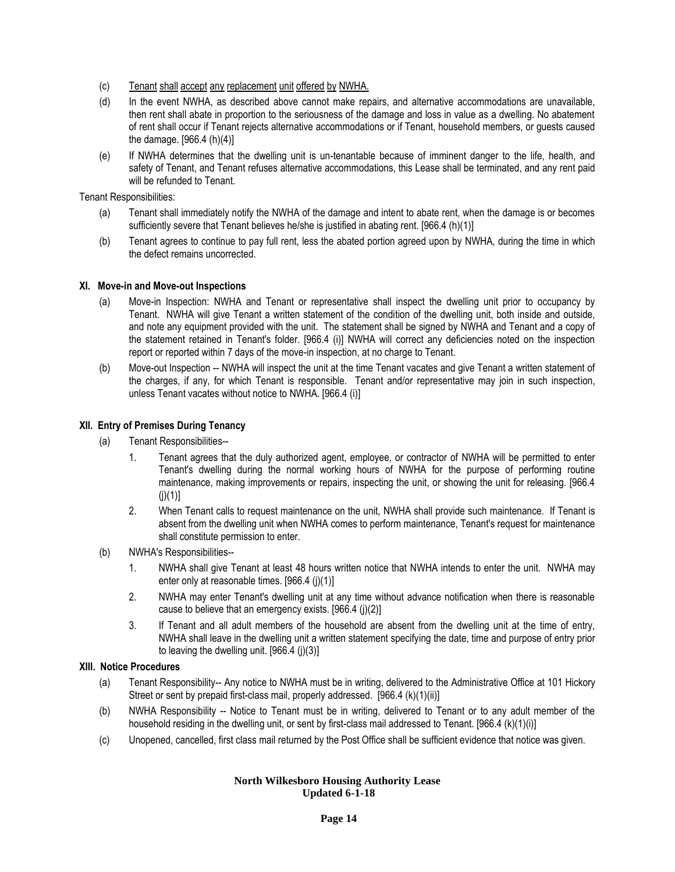- (c) Tenant shall accept any replacement unit offered by NWHA.
- (d) In the event NWHA, as described above cannot make repairs, and alternative accommodations are unavailable, then rent shall abate in proportion to the seriousness of the damage and loss in value as a dwelling. No abatement of rent shall occur if Tenant rejects alternative accommodations or if Tenant, household members, or guests caused the damage. [966.4 (h)(4)]
- (e) If NWHA determines that the dwelling unit is un-tenantable because of imminent danger to the life, health, and safety of Tenant, and Tenant refuses alternative accommodations, this Lease shall be terminated, and any rent paid will be refunded to Tenant.

Tenant Responsibilities:

- (a) Tenant shall immediately notify the NWHA of the damage and intent to abate rent, when the damage is or becomes sufficiently severe that Tenant believes he/she is justified in abating rent. [966.4 (h)(1)]
- (b) Tenant agrees to continue to pay full rent, less the abated portion agreed upon by NWHA, during the time in which the defect remains uncorrected.

## **XI. Move-in and Move-out Inspections**

- (a) Move-in Inspection: NWHA and Tenant or representative shall inspect the dwelling unit prior to occupancy by Tenant. NWHA will give Tenant a written statement of the condition of the dwelling unit, both inside and outside, and note any equipment provided with the unit. The statement shall be signed by NWHA and Tenant and a copy of the statement retained in Tenant's folder. [966.4 (i)] NWHA will correct any deficiencies noted on the inspection report or reported within 7 days of the move-in inspection, at no charge to Tenant.
- (b) Move-out Inspection -- NWHA will inspect the unit at the time Tenant vacates and give Tenant a written statement of the charges, if any, for which Tenant is responsible. Tenant and/or representative may join in such inspection, unless Tenant vacates without notice to NWHA. [966.4 (i)]

## **XII. Entry of Premises During Tenancy**

- (a) Tenant Responsibilities--
	- 1. Tenant agrees that the duly authorized agent, employee, or contractor of NWHA will be permitted to enter Tenant's dwelling during the normal working hours of NWHA for the purpose of performing routine maintenance, making improvements or repairs, inspecting the unit, or showing the unit for releasing. [966.4  $(i)(1)$ ]
	- 2. When Tenant calls to request maintenance on the unit, NWHA shall provide such maintenance. If Tenant is absent from the dwelling unit when NWHA comes to perform maintenance, Tenant's request for maintenance shall constitute permission to enter.
- (b) NWHA's Responsibilities--
	- 1. NWHA shall give Tenant at least 48 hours written notice that NWHA intends to enter the unit. NWHA may enter only at reasonable times. [966.4 (j)(1)]
	- 2. NWHA may enter Tenant's dwelling unit at any time without advance notification when there is reasonable cause to believe that an emergency exists. [966.4 (j)(2)]
	- 3. If Tenant and all adult members of the household are absent from the dwelling unit at the time of entry, NWHA shall leave in the dwelling unit a written statement specifying the date, time and purpose of entry prior to leaving the dwelling unit.  $[966.4 (i)(3)]$

#### **XIII. Notice Procedures**

- (a) Tenant Responsibility-- Any notice to NWHA must be in writing, delivered to the Administrative Office at 101 Hickory Street or sent by prepaid first-class mail, properly addressed. [966.4 (k)(1)(ii)]
- (b) NWHA Responsibility -- Notice to Tenant must be in writing, delivered to Tenant or to any adult member of the household residing in the dwelling unit, or sent by first-class mail addressed to Tenant. [966.4 (k)(1)(i)]
- (c) Unopened, cancelled, first class mail returned by the Post Office shall be sufficient evidence that notice was given.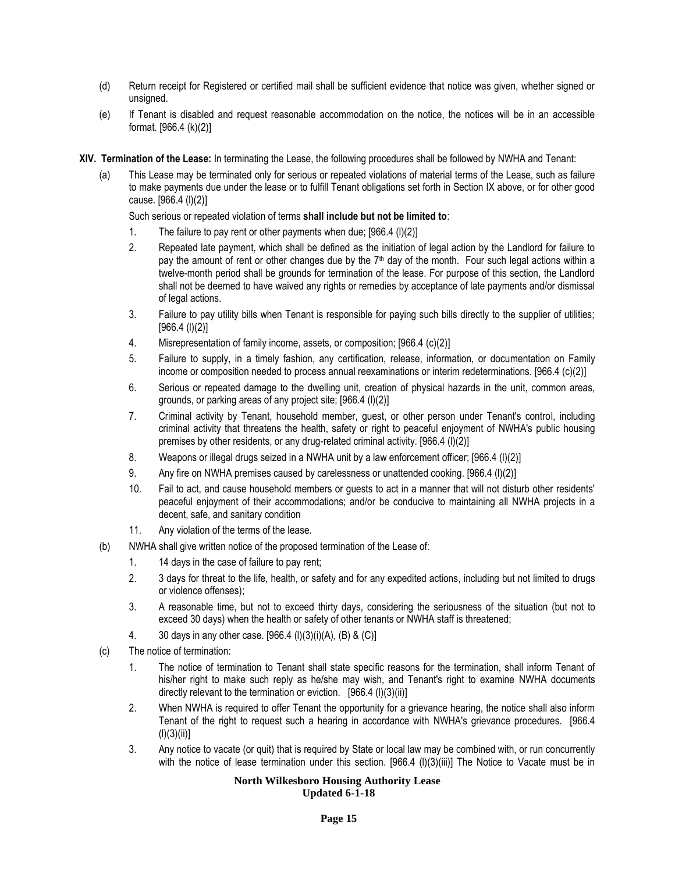- (d) Return receipt for Registered or certified mail shall be sufficient evidence that notice was given, whether signed or unsigned.
- (e) If Tenant is disabled and request reasonable accommodation on the notice, the notices will be in an accessible format. [966.4 (k)(2)]
- **XIV. Termination of the Lease:** In terminating the Lease, the following procedures shall be followed by NWHA and Tenant:
	- (a) This Lease may be terminated only for serious or repeated violations of material terms of the Lease, such as failure to make payments due under the lease or to fulfill Tenant obligations set forth in Section IX above, or for other good cause. [966.4 (l)(2)]

Such serious or repeated violation of terms **shall include but not be limited to**:

- 1. The failure to pay rent or other payments when due; [966.4 (l)(2)]
- 2. Repeated late payment, which shall be defined as the initiation of legal action by the Landlord for failure to pay the amount of rent or other changes due by the 7<sup>th</sup> day of the month. Four such legal actions within a twelve-month period shall be grounds for termination of the lease. For purpose of this section, the Landlord shall not be deemed to have waived any rights or remedies by acceptance of late payments and/or dismissal of legal actions.
- 3. Failure to pay utility bills when Tenant is responsible for paying such bills directly to the supplier of utilities; [966.4 (l)(2)]
- 4. Misrepresentation of family income, assets, or composition; [966.4 (c)(2)]
- 5. Failure to supply, in a timely fashion, any certification, release, information, or documentation on Family income or composition needed to process annual reexaminations or interim redeterminations. [966.4 (c)(2)]
- 6. Serious or repeated damage to the dwelling unit, creation of physical hazards in the unit, common areas, grounds, or parking areas of any project site; [966.4 (l)(2)]
- 7. Criminal activity by Tenant, household member, guest, or other person under Tenant's control, including criminal activity that threatens the health, safety or right to peaceful enjoyment of NWHA's public housing premises by other residents, or any drug-related criminal activity. [966.4 (l)(2)]
- 8. Weapons or illegal drugs seized in a NWHA unit by a law enforcement officer; [966.4 (l)(2)]
- 9. Any fire on NWHA premises caused by carelessness or unattended cooking. [966.4 (l)(2)]
- 10. Fail to act, and cause household members or guests to act in a manner that will not disturb other residents' peaceful enjoyment of their accommodations; and/or be conducive to maintaining all NWHA projects in a decent, safe, and sanitary condition
- 11. Any violation of the terms of the lease.
- (b) NWHA shall give written notice of the proposed termination of the Lease of:
	- 1. 14 days in the case of failure to pay rent;
	- 2. 3 days for threat to the life, health, or safety and for any expedited actions, including but not limited to drugs or violence offenses);
	- 3. A reasonable time, but not to exceed thirty days, considering the seriousness of the situation (but not to exceed 30 days) when the health or safety of other tenants or NWHA staff is threatened;
	- 4. 30 days in any other case. [966.4 (l)(3)(i)(A), (B) & (C)]
- (c) The notice of termination:
	- 1. The notice of termination to Tenant shall state specific reasons for the termination, shall inform Tenant of his/her right to make such reply as he/she may wish, and Tenant's right to examine NWHA documents directly relevant to the termination or eviction. [966.4 (l)(3)(ii)]
	- 2. When NWHA is required to offer Tenant the opportunity for a grievance hearing, the notice shall also inform Tenant of the right to request such a hearing in accordance with NWHA's grievance procedures. [966.4  $(l)(3)(ii)$ ]
	- 3. Any notice to vacate (or quit) that is required by State or local law may be combined with, or run concurrently with the notice of lease termination under this section. [966.4 (I)(3)(iii)] The Notice to Vacate must be in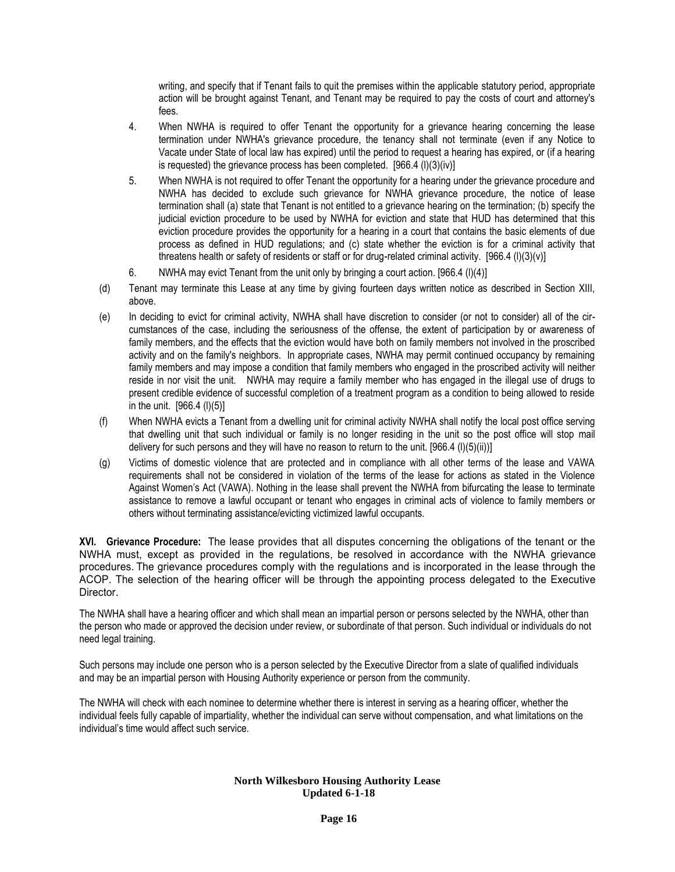writing, and specify that if Tenant fails to quit the premises within the applicable statutory period, appropriate action will be brought against Tenant, and Tenant may be required to pay the costs of court and attorney's fees.

- 4. When NWHA is required to offer Tenant the opportunity for a grievance hearing concerning the lease termination under NWHA's grievance procedure, the tenancy shall not terminate (even if any Notice to Vacate under State of local law has expired) until the period to request a hearing has expired, or (if a hearing is requested) the grievance process has been completed.  $[966.4 (i)(3)(iv)]$
- 5. When NWHA is not required to offer Tenant the opportunity for a hearing under the grievance procedure and NWHA has decided to exclude such grievance for NWHA grievance procedure, the notice of lease termination shall (a) state that Tenant is not entitled to a grievance hearing on the termination; (b) specify the judicial eviction procedure to be used by NWHA for eviction and state that HUD has determined that this eviction procedure provides the opportunity for a hearing in a court that contains the basic elements of due process as defined in HUD regulations; and (c) state whether the eviction is for a criminal activity that threatens health or safety of residents or staff or for drug-related criminal activity. [966.4 (l)(3)(v)]
- 6. NWHA may evict Tenant from the unit only by bringing a court action. [966.4 (l)(4)]
- (d) Tenant may terminate this Lease at any time by giving fourteen days written notice as described in Section XIII, above.
- (e) In deciding to evict for criminal activity, NWHA shall have discretion to consider (or not to consider) all of the circumstances of the case, including the seriousness of the offense, the extent of participation by or awareness of family members, and the effects that the eviction would have both on family members not involved in the proscribed activity and on the family's neighbors. In appropriate cases, NWHA may permit continued occupancy by remaining family members and may impose a condition that family members who engaged in the proscribed activity will neither reside in nor visit the unit. NWHA may require a family member who has engaged in the illegal use of drugs to present credible evidence of successful completion of a treatment program as a condition to being allowed to reside in the unit. [966.4 (l)(5)]
- (f) When NWHA evicts a Tenant from a dwelling unit for criminal activity NWHA shall notify the local post office serving that dwelling unit that such individual or family is no longer residing in the unit so the post office will stop mail delivery for such persons and they will have no reason to return to the unit. [966.4 (I)(5)(ii))]
- (g) Victims of domestic violence that are protected and in compliance with all other terms of the lease and VAWA requirements shall not be considered in violation of the terms of the lease for actions as stated in the Violence Against Women's Act (VAWA). Nothing in the lease shall prevent the NWHA from bifurcating the lease to terminate assistance to remove a lawful occupant or tenant who engages in criminal acts of violence to family members or others without terminating assistance/evicting victimized lawful occupants.

**XVI. Grievance Procedure:** The lease provides that all disputes concerning the obligations of the tenant or the NWHA must, except as provided in the regulations, be resolved in accordance with the NWHA grievance procedures. The grievance procedures comply with the regulations and is incorporated in the lease through the ACOP. The selection of the hearing officer will be through the appointing process delegated to the Executive Director.

The NWHA shall have a hearing officer and which shall mean an impartial person or persons selected by the NWHA, other than the person who made or approved the decision under review, or subordinate of that person. Such individual or individuals do not need legal training.

Such persons may include one person who is a person selected by the Executive Director from a slate of qualified individuals and may be an impartial person with Housing Authority experience or person from the community.

The NWHA will check with each nominee to determine whether there is interest in serving as a hearing officer, whether the individual feels fully capable of impartiality, whether the individual can serve without compensation, and what limitations on the individual's time would affect such service.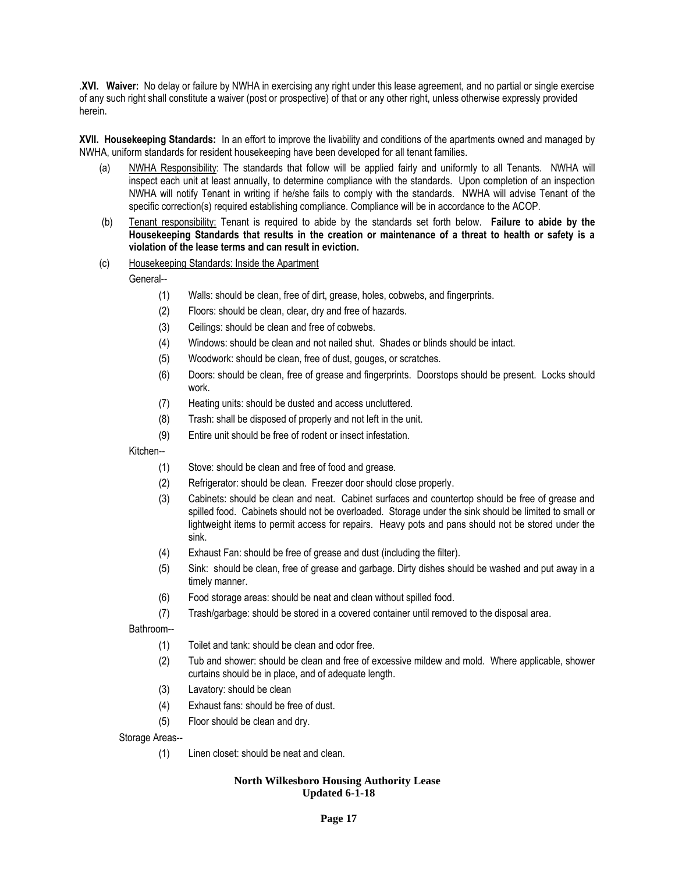.**XVI. Waiver:** No delay or failure by NWHA in exercising any right under this lease agreement, and no partial or single exercise of any such right shall constitute a waiver (post or prospective) of that or any other right, unless otherwise expressly provided herein.

**XVII. Housekeeping Standards:** In an effort to improve the livability and conditions of the apartments owned and managed by NWHA, uniform standards for resident housekeeping have been developed for all tenant families.

- (a) NWHA Responsibility: The standards that follow will be applied fairly and uniformly to all Tenants. NWHA will inspect each unit at least annually, to determine compliance with the standards. Upon completion of an inspection NWHA will notify Tenant in writing if he/she fails to comply with the standards. NWHA will advise Tenant of the specific correction(s) required establishing compliance. Compliance will be in accordance to the ACOP.
- (b) Tenant responsibility: Tenant is required to abide by the standards set forth below. **Failure to abide by the Housekeeping Standards that results in the creation or maintenance of a threat to health or safety is a violation of the lease terms and can result in eviction.**
- (c) Housekeeping Standards: Inside the Apartment

General--

- (1) Walls: should be clean, free of dirt, grease, holes, cobwebs, and fingerprints.
- (2) Floors: should be clean, clear, dry and free of hazards.
- (3) Ceilings: should be clean and free of cobwebs.
- (4) Windows: should be clean and not nailed shut. Shades or blinds should be intact.
- (5) Woodwork: should be clean, free of dust, gouges, or scratches.
- (6) Doors: should be clean, free of grease and fingerprints. Doorstops should be present. Locks should work.
- (7) Heating units: should be dusted and access uncluttered.
- (8) Trash: shall be disposed of properly and not left in the unit.
- (9) Entire unit should be free of rodent or insect infestation.

Kitchen--

- (1) Stove: should be clean and free of food and grease.
- (2) Refrigerator: should be clean. Freezer door should close properly.
- (3) Cabinets: should be clean and neat. Cabinet surfaces and countertop should be free of grease and spilled food. Cabinets should not be overloaded. Storage under the sink should be limited to small or lightweight items to permit access for repairs. Heavy pots and pans should not be stored under the sink.
- (4) Exhaust Fan: should be free of grease and dust (including the filter).
- (5) Sink: should be clean, free of grease and garbage. Dirty dishes should be washed and put away in a timely manner.
- (6) Food storage areas: should be neat and clean without spilled food.
- (7) Trash/garbage: should be stored in a covered container until removed to the disposal area.

Bathroom--

- (1) Toilet and tank: should be clean and odor free.
- (2) Tub and shower: should be clean and free of excessive mildew and mold. Where applicable, shower curtains should be in place, and of adequate length.
- (3) Lavatory: should be clean
- (4) Exhaust fans: should be free of dust.
- (5) Floor should be clean and dry.

Storage Areas--

(1) Linen closet: should be neat and clean.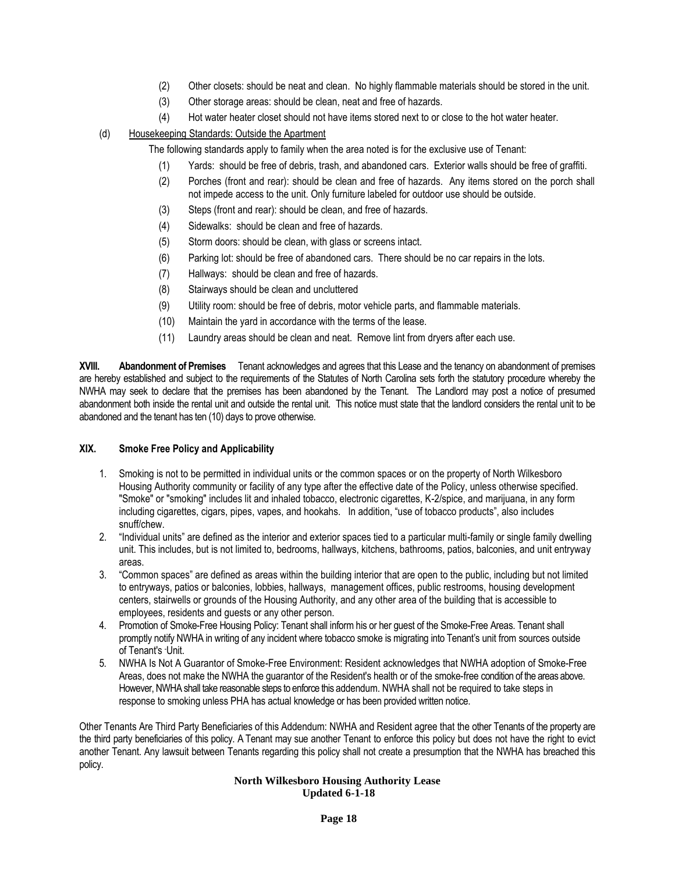- (2) Other closets: should be neat and clean. No highly flammable materials should be stored in the unit.
- (3) Other storage areas: should be clean, neat and free of hazards.
- (4) Hot water heater closet should not have items stored next to or close to the hot water heater.

## (d) Housekeeping Standards: Outside the Apartment

The following standards apply to family when the area noted is for the exclusive use of Tenant:

- (1) Yards: should be free of debris, trash, and abandoned cars. Exterior walls should be free of graffiti.
- (2) Porches (front and rear): should be clean and free of hazards. Any items stored on the porch shall not impede access to the unit. Only furniture labeled for outdoor use should be outside.
- (3) Steps (front and rear): should be clean, and free of hazards.
- (4) Sidewalks: should be clean and free of hazards.
- (5) Storm doors: should be clean, with glass or screens intact.
- (6) Parking lot: should be free of abandoned cars. There should be no car repairs in the lots.
- (7) Hallways: should be clean and free of hazards.
- (8) Stairways should be clean and uncluttered
- (9) Utility room: should be free of debris, motor vehicle parts, and flammable materials.
- (10) Maintain the yard in accordance with the terms of the lease.
- (11) Laundry areas should be clean and neat. Remove lint from dryers after each use.

**XVIII. Abandonment of Premises** Tenant acknowledges and agrees that this Lease and the tenancy on abandonment of premises are hereby established and subject to the requirements of the Statutes of North Carolina sets forth the statutory procedure whereby the NWHA may seek to declare that the premises has been abandoned by the Tenant. The Landlord may post a notice of presumed abandonment both inside the rental unit and outside the rental unit. This notice must state that the landlord considers the rental unit to be abandoned and the tenant has ten (10) days to prove otherwise.

## **XIX. Smoke Free Policy and Applicability**

- 1. Smoking is not to be permitted in individual units or the common spaces or on the property of North Wilkesboro Housing Authority community or facility of any type after the effective date of the Policy, unless otherwise specified. "Smoke" or "smoking" includes lit and inhaled tobacco, electronic cigarettes, K-2/spice, and marijuana, in any form including cigarettes, cigars, pipes, vapes, and hookahs. In addition, "use of tobacco products", also includes snuff/chew.
- 2. "Individual units" are defined as the interior and exterior spaces tied to a particular multi-family or single family dwelling unit. This includes, but is not limited to, bedrooms, hallways, kitchens, bathrooms, patios, balconies, and unit entryway areas.
- 3. "Common spaces" are defined as areas within the building interior that are open to the public, including but not limited to entryways, patios or balconies, lobbies, hallways, management offices, public restrooms, housing development centers, stairwells or grounds of the Housing Authority, and any other area of the building that is accessible to employees, residents and guests or any other person.
- 4. Promotion of Smoke-Free Housing Policy: Tenant shall inform his or her guest of the Smoke-Free Areas. Tenant shall promptly notify NWHA in writing of any incident where tobacco smoke is migrating into Tenant's unit from sources outside of Tenant's -Unit.
- 5. NWHA Is Not A Guarantor of Smoke-Free Environment: Resident acknowledges that NWHA adoption of Smoke-Free Areas, does not make the NWHA the guarantor of the Resident's health or of the smoke-free condition of the areas above. However, NWHA shall take reasonable steps to enforce this addendum. NWHA shall not be required to take steps in response to smoking unless PHA has actual knowledge or has been provided written notice.

Other Tenants Are Third Party Beneficiaries of this Addendum: NWHA and Resident agree that the other Tenants of the property are the third party beneficiaries of this policy. A Tenant may sue another Tenant to enforce this policy but does not have the right to evict another Tenant. Any lawsuit between Tenants regarding this policy shall not create a presumption that the NWHA has breached this policy.